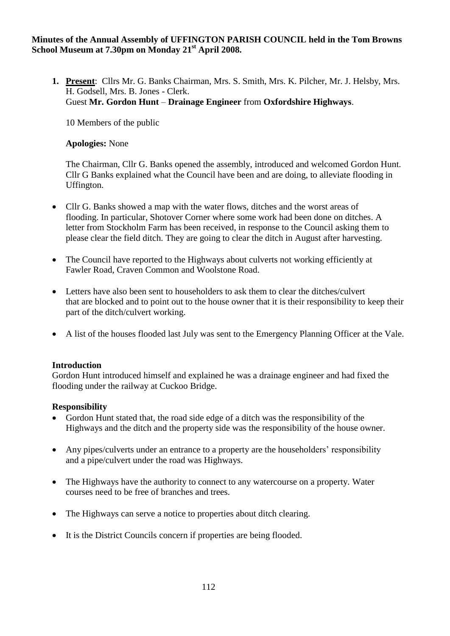### **Minutes of the Annual Assembly of UFFINGTON PARISH COUNCIL held in the Tom Browns School Museum at 7.30pm on Monday 21st April 2008.**

**1. Present**: Cllrs Mr. G. Banks Chairman, Mrs. S. Smith, Mrs. K. Pilcher, Mr. J. Helsby, Mrs. H. Godsell, Mrs. B. Jones - Clerk. Guest **Mr. Gordon Hunt** – **Drainage Engineer** from **Oxfordshire Highways**.

10 Members of the public

## **Apologies:** None

The Chairman, Cllr G. Banks opened the assembly, introduced and welcomed Gordon Hunt. Cllr G Banks explained what the Council have been and are doing, to alleviate flooding in Uffington.

- Cllr G. Banks showed a map with the water flows, ditches and the worst areas of flooding. In particular, Shotover Corner where some work had been done on ditches. A letter from Stockholm Farm has been received, in response to the Council asking them to please clear the field ditch. They are going to clear the ditch in August after harvesting.
- The Council have reported to the Highways about culverts not working efficiently at Fawler Road, Craven Common and Woolstone Road.
- Letters have also been sent to householders to ask them to clear the ditches/culvert that are blocked and to point out to the house owner that it is their responsibility to keep their part of the ditch/culvert working.
- A list of the houses flooded last July was sent to the Emergency Planning Officer at the Vale.

#### **Introduction**

Gordon Hunt introduced himself and explained he was a drainage engineer and had fixed the flooding under the railway at Cuckoo Bridge.

### **Responsibility**

- Gordon Hunt stated that, the road side edge of a ditch was the responsibility of the Highways and the ditch and the property side was the responsibility of the house owner.
- Any pipes/culverts under an entrance to a property are the householders' responsibility and a pipe/culvert under the road was Highways.
- The Highways have the authority to connect to any watercourse on a property. Water courses need to be free of branches and trees.
- The Highways can serve a notice to properties about ditch clearing.
- It is the District Councils concern if properties are being flooded.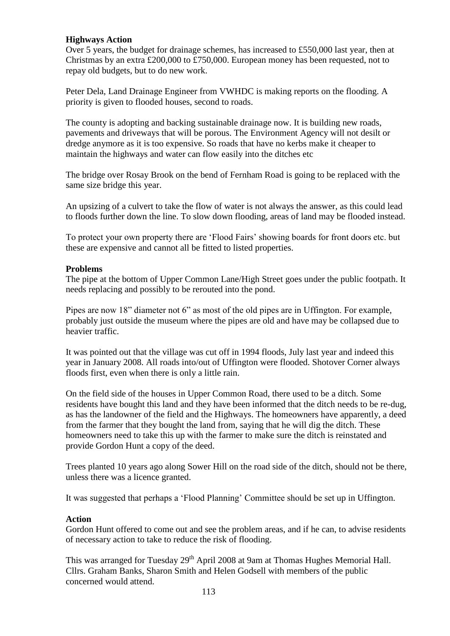### **Highways Action**

Over 5 years, the budget for drainage schemes, has increased to £550,000 last year, then at Christmas by an extra £200,000 to £750,000. European money has been requested, not to repay old budgets, but to do new work.

Peter Dela, Land Drainage Engineer from VWHDC is making reports on the flooding. A priority is given to flooded houses, second to roads.

The county is adopting and backing sustainable drainage now. It is building new roads, pavements and driveways that will be porous. The Environment Agency will not desilt or dredge anymore as it is too expensive. So roads that have no kerbs make it cheaper to maintain the highways and water can flow easily into the ditches etc

The bridge over Rosay Brook on the bend of Fernham Road is going to be replaced with the same size bridge this year.

An upsizing of a culvert to take the flow of water is not always the answer, as this could lead to floods further down the line. To slow down flooding, areas of land may be flooded instead.

To protect your own property there are 'Flood Fairs' showing boards for front doors etc. but these are expensive and cannot all be fitted to listed properties.

#### **Problems**

The pipe at the bottom of Upper Common Lane/High Street goes under the public footpath. It needs replacing and possibly to be rerouted into the pond.

Pipes are now 18" diameter not 6" as most of the old pipes are in Uffington. For example, probably just outside the museum where the pipes are old and have may be collapsed due to heavier traffic.

It was pointed out that the village was cut off in 1994 floods, July last year and indeed this year in January 2008. All roads into/out of Uffington were flooded. Shotover Corner always floods first, even when there is only a little rain.

On the field side of the houses in Upper Common Road, there used to be a ditch. Some residents have bought this land and they have been informed that the ditch needs to be re-dug, as has the landowner of the field and the Highways. The homeowners have apparently, a deed from the farmer that they bought the land from, saying that he will dig the ditch. These homeowners need to take this up with the farmer to make sure the ditch is reinstated and provide Gordon Hunt a copy of the deed.

Trees planted 10 years ago along Sower Hill on the road side of the ditch, should not be there, unless there was a licence granted.

It was suggested that perhaps a 'Flood Planning' Committee should be set up in Uffington.

#### **Action**

Gordon Hunt offered to come out and see the problem areas, and if he can, to advise residents of necessary action to take to reduce the risk of flooding.

This was arranged for Tuesday 29<sup>th</sup> April 2008 at 9am at Thomas Hughes Memorial Hall. Cllrs. Graham Banks, Sharon Smith and Helen Godsell with members of the public concerned would attend.